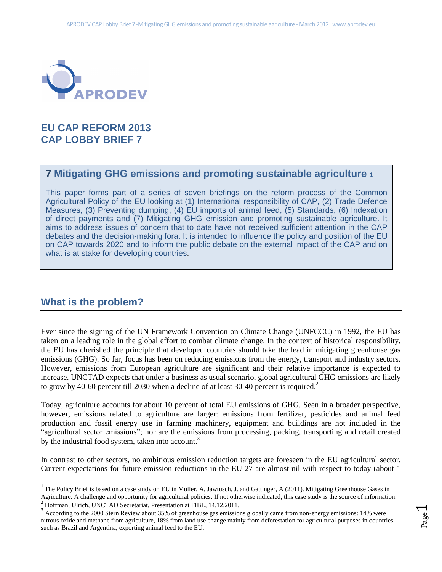

# **EU CAP REFORM 2013 CAP LOBBY BRIEF 7**

# **7 Mitigating GHG emissions and promoting sustainable agriculture <sup>1</sup>**

This paper forms part of a series of seven briefings on the reform process of the Common Agricultural Policy of the EU looking at (1) International responsibility of CAP, (2) Trade Defence Measures, (3) Preventing dumping, (4) EU imports of animal feed, (5) Standards, (6) Indexation of direct payments and (7) Mitigating GHG emission and promoting sustainable agriculture. It aims to address issues of concern that to date have not received sufficient attention in the CAP debates and the decision-making fora. It is intended to influence the policy and position of the EU on CAP towards 2020 and to inform the public debate on the external impact of the CAP and on what is at stake for developing countries.

## **What is the problem?**

 $\overline{\phantom{a}}$ 

Ever since the signing of the UN Framework Convention on Climate Change (UNFCCC) in 1992, the EU has taken on a leading role in the global effort to combat climate change. In the context of historical responsibility, the EU has cherished the principle that developed countries should take the lead in mitigating greenhouse gas emissions (GHG). So far, focus has been on reducing emissions from the energy, transport and industry sectors. However, emissions from European agriculture are significant and their relative importance is expected to increase. UNCTAD expects that under a business as usual scenario, global agricultural GHG emissions are likely to grow by 40-60 percent till 2030 when a decline of at least 30-40 percent is required.<sup>2</sup>

Today, agriculture accounts for about 10 percent of total EU emissions of GHG. Seen in a broader perspective, however, emissions related to agriculture are larger: emissions from fertilizer, pesticides and animal feed production and fossil energy use in farming machinery, equipment and buildings are not included in the "agricultural sector emissions"; nor are the emissions from processing, packing, transporting and retail created by the industrial food system, taken into account.<sup>3</sup>

In contrast to other sectors, no ambitious emission reduction targets are foreseen in the EU agricultural sector. Current expectations for future emission reductions in the EU-27 are almost nil with respect to today (about 1

 $\overline{\phantom{0}}$ 

<sup>&</sup>lt;sup>1</sup> The Policy Brief is based on a case study on EU in Muller, A, Jawtusch, J. and Gattinger, A (2011). Mitigating Greenhouse Gases in Agriculture. A challenge and opportunity for agricultural policies. If not otherwise indicated, this case study is the source of information.

<sup>&</sup>lt;sup>2</sup> Hoffman, Ulrich, UNCTAD Secretariat, Presentation at FIBL, 14.12.2011.

<sup>&</sup>lt;sup>3</sup> According to the 2000 Stern Review about 35% of greenhouse gas emissions globally came from non-energy emissions: 14% were nitrous oxide and methane from agriculture, 18% from land use change mainly from deforestation for agricultural purposes in countries such as Brazil and Argentina, exporting animal feed to the EU.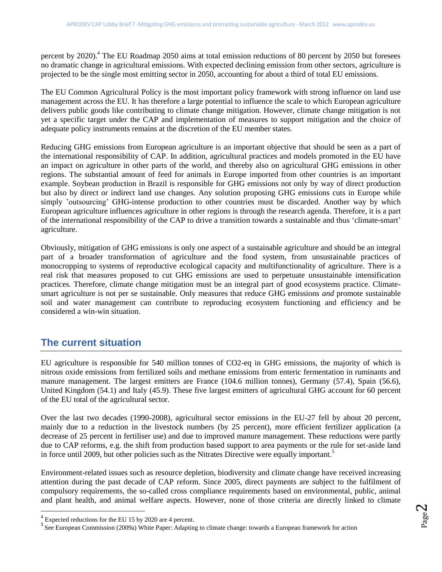percent by 2020).<sup>4</sup> The EU Roadmap 2050 aims at total emission reductions of 80 percent by 2050 but foresees no dramatic change in agricultural emissions. With expected declining emission from other sectors, agriculture is projected to be the single most emitting sector in 2050, accounting for about a third of total EU emissions.

The EU Common Agricultural Policy is the most important policy framework with strong influence on land use management across the EU. It has therefore a large potential to influence the scale to which European agriculture delivers public goods like contributing to climate change mitigation. However, climate change mitigation is not yet a specific target under the CAP and implementation of measures to support mitigation and the choice of adequate policy instruments remains at the discretion of the EU member states.

Reducing GHG emissions from European agriculture is an important objective that should be seen as a part of the international responsibility of CAP. In addition, agricultural practices and models promoted in the EU have an impact on agriculture in other parts of the world, and thereby also on agricultural GHG emissions in other regions. The substantial amount of feed for animals in Europe imported from other countries is an important example. Soybean production in Brazil is responsible for GHG emissions not only by way of direct production but also by direct or indirect land use changes. Any solution proposing GHG emissions cuts in Europe while simply 'outsourcing' GHG-intense production to other countries must be discarded. Another way by which European agriculture influences agriculture in other regions is through the research agenda. Therefore, it is a part of the international responsibility of the CAP to drive a transition towards a sustainable and thus 'climate-smart' agriculture.

Obviously, mitigation of GHG emissions is only one aspect of a sustainable agriculture and should be an integral part of a broader transformation of agriculture and the food system, from unsustainable practices of monocropping to systems of reproductive ecological capacity and multifunctionality of agriculture. There is a real risk that measures proposed to cut GHG emissions are used to perpetuate unsustainable intensification practices. Therefore, climate change mitigation must be an integral part of good ecosystems practice. Climatesmart agriculture is not per se sustainable. Only measures that reduce GHG emissions *and* promote sustainable soil and water management can contribute to reproducing ecosystem functioning and efficiency and be considered a win-win situation.

# **The current situation**

EU agriculture is responsible for 540 million tonnes of CO2-eq in GHG emissions, the majority of which is nitrous oxide emissions from fertilized soils and methane emissions from enteric fermentation in ruminants and manure management. The largest emitters are France (104.6 million tonnes), Germany (57.4), Spain (56.6), United Kingdom (54.1) and Italy (45.9). These five largest emitters of agricultural GHG account for 60 percent of the EU total of the agricultural sector.

Over the last two decades (1990-2008), agricultural sector emissions in the EU-27 fell by about 20 percent, mainly due to a reduction in the livestock numbers (by 25 percent), more efficient fertilizer application (a decrease of 25 percent in fertiliser use) and due to improved manure management. These reductions were partly due to CAP reforms, e.g. the shift from production based support to area payments or the rule for set-aside land in force until 2009, but other policies such as the Nitrates Directive were equally important.<sup>5</sup>

Environment-related issues such as resource depletion, biodiversity and climate change have received increasing attention during the past decade of CAP reform. Since 2005, direct payments are subject to the fulfilment of compulsory requirements, the so-called cross compliance requirements based on environmental, public, animal and plant health, and animal welfare aspects. However, none of those criteria are directly linked to climate

 $\overline{a}$ 

<sup>&</sup>lt;sup>4</sup> Expected reductions for the EU 15 by 2020 are 4 percent.<br><sup>5</sup> See European Commission (2009a) White Paper: Adapting to climate change: towards a European framework for action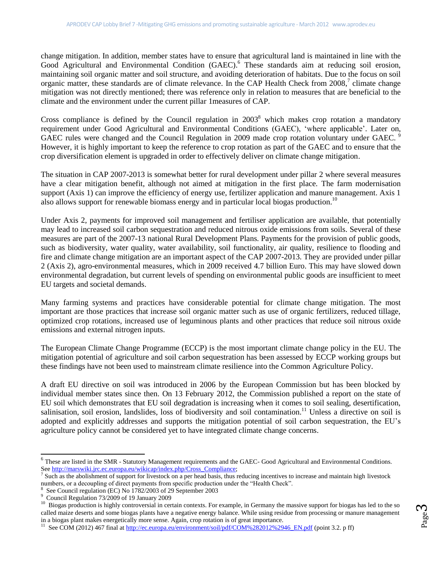change mitigation. In addition, member states have to ensure that agricultural land is maintained in line with the Good Agricultural and Environmental Condition (GAEC).<sup>6</sup> These standards aim at reducing soil erosion, maintaining soil organic matter and soil structure, and avoiding deterioration of habitats. Due to the focus on soil organic matter, these standards are of climate relevance. In the CAP Health Check from 2008,<sup>7</sup> climate change mitigation was not directly mentioned; there was reference only in relation to measures that are beneficial to the climate and the environment under the current pillar 1measures of CAP.

Cross compliance is defined by the Council regulation in  $2003<sup>8</sup>$  which makes crop rotation a mandatory requirement under Good Agricultural and Environmental Conditions (GAEC), 'where applicable'. Later on, GAEC rules were changed and the Council Regulation in 2009 made crop rotation voluntary under GAEC. However, it is highly important to keep the reference to crop rotation as part of the GAEC and to ensure that the crop diversification element is upgraded in order to effectively deliver on climate change mitigation.

The situation in CAP 2007-2013 is somewhat better for rural development under pillar 2 where several measures have a clear mitigation benefit, although not aimed at mitigation in the first place. The farm modernisation support (Axis 1) can improve the efficiency of energy use, fertilizer application and manure management. Axis 1 also allows support for renewable biomass energy and in particular local biogas production.<sup>10</sup>

Under Axis 2, payments for improved soil management and fertiliser application are available, that potentially may lead to increased soil carbon sequestration and reduced nitrous oxide emissions from soils. Several of these measures are part of the 2007-13 national Rural Development Plans. Payments for the provision of public goods, such as biodiversity, water quality, water availability, soil functionality, air quality, resilience to flooding and fire and climate change mitigation are an important aspect of the CAP 2007-2013. They are provided under pillar 2 (Axis 2), agro-environmental measures, which in 2009 received 4.7 billion Euro. This may have slowed down environmental degradation, but current levels of spending on environmental public goods are insufficient to meet EU targets and societal demands.

Many farming systems and practices have considerable potential for climate change mitigation. The most important are those practices that increase soil organic matter such as use of organic fertilizers, reduced tillage, optimized crop rotations, increased use of leguminous plants and other practices that reduce soil nitrous oxide emissions and external nitrogen inputs.

The European Climate Change Programme (ECCP) is the most important climate change policy in the EU. The mitigation potential of agriculture and soil carbon sequestration has been assessed by ECCP working groups but these findings have not been used to mainstream climate resilience into the Common Agriculture Policy.

A draft EU directive on soil was introduced in 2006 by the European Commission but has been blocked by individual member states since then. On 13 February 2012, the Commission published a report on the state of EU soil which demonstrates that EU soil degradation is increasing when it comes to soil sealing, desertification, salinisation, soil erosion, landslides, loss of biodiversity and soil contamination.<sup>11</sup> Unless a directive on soil is adopted and explicitly addresses and supports the mitigation potential of soil carbon sequestration, the EU's agriculture policy cannot be considered yet to have integrated climate change concerns.

 6 These are listed in the SMR - Statutory Management requirements and the GAEC- Good Agricultural and Environmental Conditions. See [http://marswiki.jrc.ec.europa.eu/wikicap/index.php/Cross\\_Compliance;](http://marswiki.jrc.ec.europa.eu/wikicap/index.php/Cross_Compliance)<br><sup>7</sup> Such as the abolishment of support for livestock on a per head basis, thus reducing incentives to increase and maintain high livestock

numbers, or a decoupling of direct payments from specific production under the "Health Check".

<sup>8</sup> See Council regulation (EC) No 1782/2003 of 29 September 2003

<sup>9</sup> Council Regulation 73/2009 of 19 January 2009

<sup>10</sup> Biogas production is highly controversial in certain contexts. For example, in Germany the massive support for biogas has led to the so called maize deserts and some biogas plants have a negative energy balance. While using residue from processing or manure management in a biogas plant makes energetically more sense. Again, crop rotation is of great importance.

<sup>&</sup>lt;sup>11</sup> See COM (2012) 467 final at http://ec.europa.eu/environment/soil/pdf/COM%282012%2946 EN.pdf (point 3.2. p ff)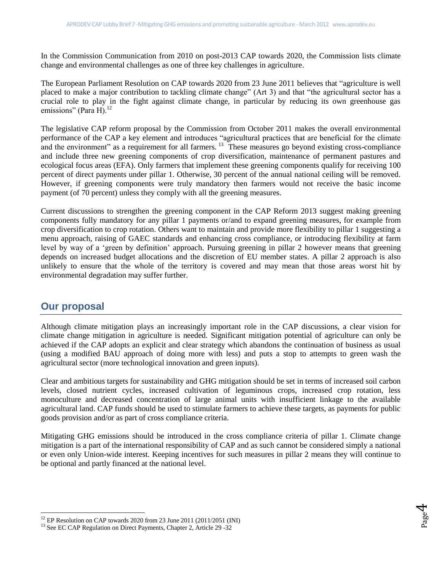In the Commission Communication from 2010 on post-2013 CAP towards 2020, the Commission lists climate change and environmental challenges as one of three key challenges in agriculture.

The European Parliament Resolution on CAP towards 2020 from 23 June 2011 believes that "agriculture is well placed to make a major contribution to tackling climate change" (Art 3) and that "the agricultural sector has a crucial role to play in the fight against climate change, in particular by reducing its own greenhouse gas emissions" (Para H). $^{12}$ 

The legislative CAP reform proposal by the Commission from October 2011 makes the overall environmental performance of the CAP a key element and introduces "agricultural practices that are beneficial for the climate and the environment" as a requirement for all farmers.  $13\degree$  These measures go beyond existing cross-compliance and include three new greening components of crop diversification, maintenance of permanent pastures and ecological focus areas (EFA). Only farmers that implement these greening components qualify for receiving 100 percent of direct payments under pillar 1. Otherwise, 30 percent of the annual national ceiling will be removed. However, if greening components were truly mandatory then farmers would not receive the basic income payment (of 70 percent) unless they comply with all the greening measures.

Current discussions to strengthen the greening component in the CAP Reform 2013 suggest making greening components fully mandatory for any pillar 1 payments or/and to expand greening measures, for example from crop diversification to crop rotation. Others want to maintain and provide more flexibility to pillar 1 suggesting a menu approach, raising of GAEC standards and enhancing cross compliance, or introducing flexibility at farm level by way of a 'green by definition' approach. Pursuing greening in pillar 2 however means that greening depends on increased budget allocations and the discretion of EU member states. A pillar 2 approach is also unlikely to ensure that the whole of the territory is covered and may mean that those areas worst hit by environmental degradation may suffer further.

## **Our proposal**

 $\overline{\phantom{a}}$ 

Although climate mitigation plays an increasingly important role in the CAP discussions, a clear vision for climate change mitigation in agriculture is needed. Significant mitigation potential of agriculture can only be achieved if the CAP adopts an explicit and clear strategy which abandons the continuation of business as usual (using a modified BAU approach of doing more with less) and puts a stop to attempts to green wash the agricultural sector (more technological innovation and green inputs).

Clear and ambitious targets for sustainability and GHG mitigation should be set in terms of increased soil carbon levels, closed nutrient cycles, increased cultivation of leguminous crops, increased crop rotation, less monoculture and decreased concentration of large animal units with insufficient linkage to the available agricultural land. CAP funds should be used to stimulate farmers to achieve these targets, as payments for public goods provision and/or as part of cross compliance criteria.

Mitigating GHG emissions should be introduced in the cross compliance criteria of pillar 1. Climate change mitigation is a part of the international responsibility of CAP and as such cannot be considered simply a national or even only Union-wide interest. Keeping incentives for such measures in pillar 2 means they will continue to be optional and partly financed at the national level.

> Page 4

<sup>12</sup> EP Resolution on CAP towards 2020 from 23 June 2011 (2011/2051 (INI)

<sup>&</sup>lt;sup>13</sup> See EC CAP Regulation on Direct Payments, Chapter 2, Article 29 -32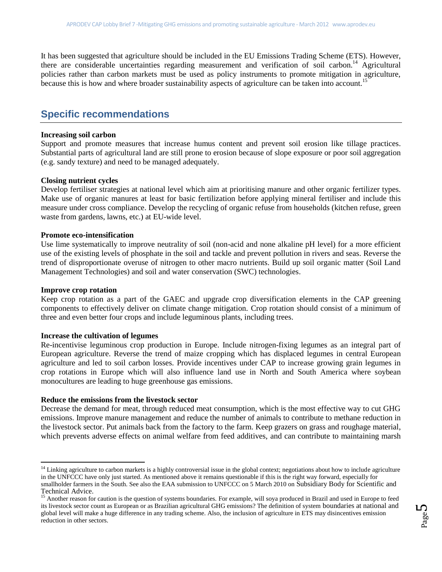It has been suggested that agriculture should be included in the EU Emissions Trading Scheme (ETS). However, there are considerable uncertainties regarding measurement and verification of soil carbon.<sup>14</sup> Agricultural policies rather than carbon markets must be used as policy instruments to promote mitigation in agriculture, because this is how and where broader sustainability aspects of agriculture can be taken into account.<sup>15</sup>

## **Specific recommendations**

#### **Increasing soil carbon**

Support and promote measures that increase humus content and prevent soil erosion like tillage practices. Substantial parts of agricultural land are still prone to erosion because of slope exposure or poor soil aggregation (e.g. sandy texture) and need to be managed adequately.

### **Closing nutrient cycles**

Develop fertiliser strategies at national level which aim at prioritising manure and other organic fertilizer types. Make use of organic manures at least for basic fertilization before applying mineral fertiliser and include this measure under cross compliance. Develop the recycling of organic refuse from households (kitchen refuse, green waste from gardens, lawns, etc.) at EU-wide level.

## **Promote eco-intensification**

Use lime systematically to improve neutrality of soil (non-acid and none alkaline pH level) for a more efficient use of the existing levels of phosphate in the soil and tackle and prevent pollution in rivers and seas. Reverse the trend of disproportionate overuse of nitrogen to other macro nutrients. Build up soil organic matter (Soil Land Management Technologies) and soil and water conservation (SWC) technologies.

### **Improve crop rotation**

l

Keep crop rotation as a part of the GAEC and upgrade crop diversification elements in the CAP greening components to effectively deliver on climate change mitigation. Crop rotation should consist of a minimum of three and even better four crops and include leguminous plants, including trees.

#### **Increase the cultivation of legumes**

Re-incentivise leguminous crop production in Europe. Include nitrogen-fixing legumes as an integral part of European agriculture. Reverse the trend of maize cropping which has displaced legumes in central European agriculture and led to soil carbon losses. Provide incentives under CAP to increase growing grain legumes in crop rotations in Europe which will also influence land use in North and South America where soybean monocultures are leading to huge greenhouse gas emissions.

#### **Reduce the emissions from the livestock sector**

Decrease the demand for meat, through reduced meat consumption, which is the most effective way to cut GHG emissions. Improve manure management and reduce the number of animals to contribute to methane reduction in the livestock sector. Put animals back from the factory to the farm. Keep grazers on grass and roughage material, which prevents adverse effects on animal welfare from feed additives, and can contribute to maintaining marsh

 $14$  Linking agriculture to carbon markets is a highly controversial issue in the global context; negotiations about how to include agriculture in the UNFCCC have only just started. As mentioned above it remains questionable if this is the right way forward, especially for smallholder farmers in the South. See also the EAA submission to UNFCCC on 5 March 2010 on Subsidiary Body for Scientific and Technical Advice.

<sup>&</sup>lt;sup>15</sup> Another reason for caution is the question of systems boundaries. For example, will soya produced in Brazil and used in Europe to feed its livestock sector count as European or as Brazilian agricultural GHG emissions? The definition of system boundaries at national and global level will make a huge difference in any trading scheme. Also, the inclusion of agriculture in ETS may disincentives emission reduction in other sectors.